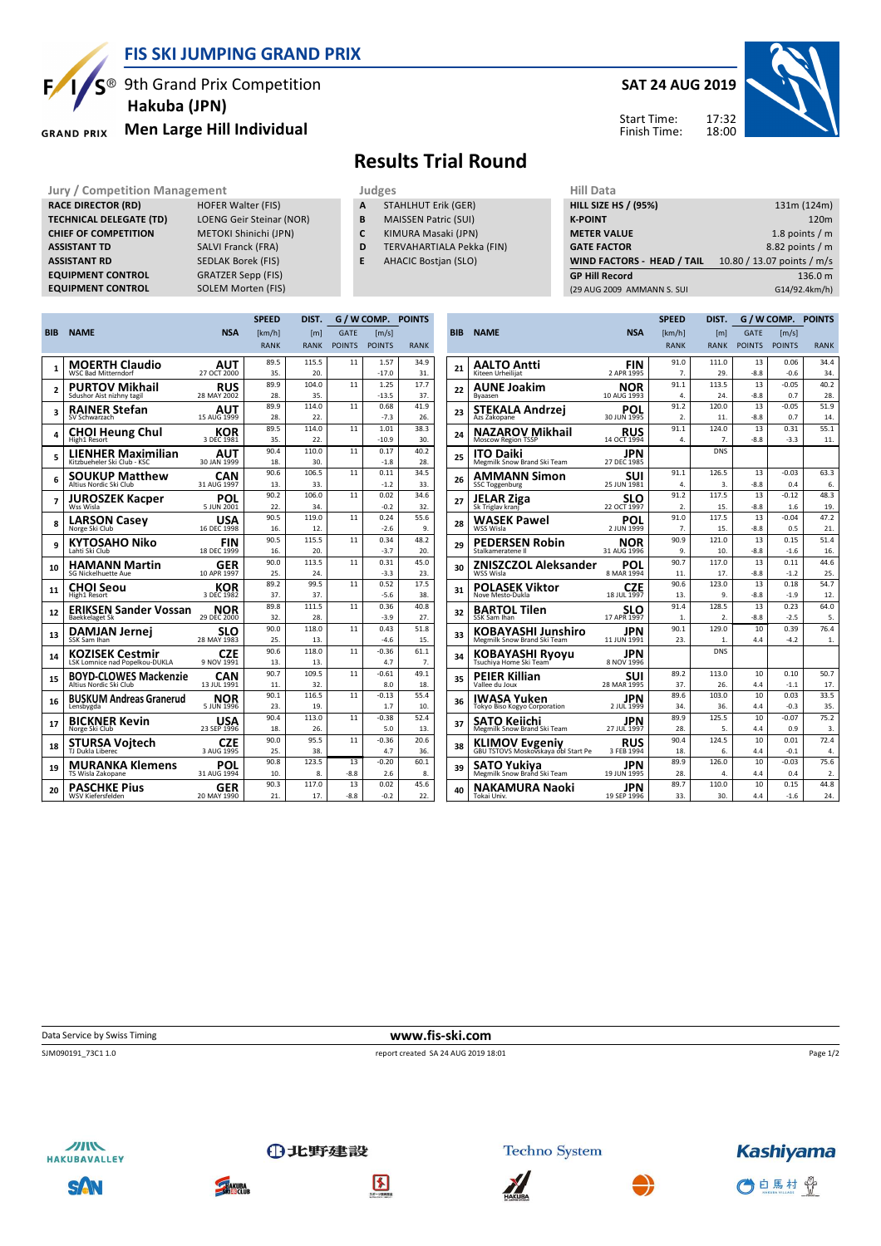

#### **FIS SKI JUMPING GRAND PRIX**

<sup>®</sup> 9th Grand Prix Competition  **Hakuba (JPN)**

**RACE DIRECTOR (RD)** HOFER Walter (FIS) **TECHNICAL DELEGATE (TD)** LOENG Geir Steinar (NOR) **CHIEF OF COMPETITION** METOKI Shinichi (JPN) **ASSISTANT TD** SALVI Franck (FRA) **ASSISTANT RD** SEDLAK Borek (FIS)<br>**EQUIPMENT CONTROL** GRATZER Sepp (FIS)

**EQUIPMENT CONTROL** SOLEM Morten (FIS)

**GRAND PRIX** 

**EQUIPMENT CONTROL** 

# **Men Large Hill Individual**

# **SAT 24 AUG 2019**

17:32 18:00 Start Time: Finish Time:



## **Results Trial Round**

**Jury / Competition Management development development of the Judges of American Hill Data** 

- **A** STAHLHUT Erik (GER)
- **B** MAISSEN Patric (SUI)
- **C** KIMURA Masaki (JPN)
- **D** TERVAHARTIALA Pekka (FIN)
- **E** AHACIC Bostjan (SLO)

| 11111 <i>Data</i>                 |                            |
|-----------------------------------|----------------------------|
| <b>HILL SIZE HS / (95%)</b>       | 131m (124m)                |
| <b>K-POINT</b>                    | 120 <sub>m</sub>           |
| <b>METER VALUE</b>                | 1.8 points $/m$            |
| <b>GATE FACTOR</b>                | 8.82 points / m            |
| <b>WIND FACTORS - HEAD / TAIL</b> | 10.80 / 13.07 points / m/s |
| <b>GP Hill Record</b>             | 136.0 m                    |
| (29 AUG 2009 AMMANN S. SUI        | G14/92.4km/h)              |
|                                   |                            |

|                |                                                          |                          | <b>SPEED</b> | DIST.        | G / W COMP. POINTS |                     |             |
|----------------|----------------------------------------------------------|--------------------------|--------------|--------------|--------------------|---------------------|-------------|
| <b>BIB</b>     | <b>NAME</b>                                              | <b>NSA</b>               | [km/h]       | [m]          | <b>GATE</b>        | $\lceil m/s \rceil$ |             |
|                |                                                          |                          | <b>RANK</b>  | <b>RANK</b>  | <b>POINTS</b>      | <b>POINTS</b>       | <b>RANK</b> |
|                | <b>MOERTH Claudio</b>                                    | AUT                      | 89.5         | 115.5        | 11                 | 1.57                | 34.9        |
| 1              | <b>WSC Bad Mitterndorf</b>                               | 27 OCT 2000              | 35.          | 20.          |                    | $-17.0$             | 31.         |
| $\overline{a}$ | <b>PURTOV Mikhail</b>                                    | <b>RUS</b>               | 89.9         | 104.0        | 11                 | 1.25                | 17.7        |
|                | Sdushor Aist nizhny tagil                                | 28 MAY 2002              | 28.          | 35.          |                    | $-13.5$             | 37.         |
| 3              | <b>RAINER Stefan</b>                                     | AUT                      | 89.9         | 114.0        | 11                 | 0.68                | 41.9        |
|                | SV Schwarzach                                            | 15 AUG 1999              | 28.          | 22.          |                    | $-7.3$              | 26.         |
| 4              | <b>CHOI Heung Chul</b>                                   | KOR                      | 89.5         | 114.0        | 11                 | 1.01                | 38.3        |
|                | High1 Resort                                             | 3 DEC 1981               | 35.          | 22.          |                    | $-10.9$             | 30.         |
| 5              | <b>LIENHER Maximilian</b><br>Kitzbueheler Ski Club - KSC | AUT<br>30 JAN 1999       | 90.4<br>18.  | 110.0<br>30. | 11                 | 0.17<br>$-1.8$      | 40.2<br>28. |
|                |                                                          |                          | 90.6         | 106.5        | 11                 | 0.11                | 34.5        |
| 6              | <b>SOUKUP Matthew</b><br>Altius Nordic Ski Club          | CAN<br>31 AUG 1997       | 13.          | 33.          |                    | $-1.2$              | 33.         |
|                |                                                          |                          | 90.2         | 106.0        | 11                 | 0.02                | 34.6        |
| 7              | <b>JUROSZEK Kacper</b><br>Wss Wisla                      | POL<br>5 JUN 2001        | 22.          | 34.          |                    | $-0.2$              | 32.         |
|                | <b>LARSON Casev</b>                                      | USA                      | 90.5         | 119.0        | 11                 | 0.24                | 55.6        |
| 8              | Norge Ski Club                                           | 16 DEC 1998              | 16.          | 12.          |                    | $-2.6$              | 9.          |
| 9              | <b>KYTOSAHO Niko</b>                                     | <b>FIN</b>               | 90.5         | 115.5        | 11                 | 0.34                | 48.2        |
|                | Lahti Ski Club                                           | 18 DEC 1999              | 16.          | 20.          |                    | $-3.7$              | 20.         |
| 10             | <b>HAMANN Martin</b>                                     | <b>GER</b>               | 90.0         | 113.5        | 11                 | 0.31                | 45.0        |
|                | SG Nickelhuette Aue                                      | 10 APR 1997              | 25.          | 24.          |                    | $-3.3$              | 23.         |
| 11             | <b>CHOI Seou</b>                                         | KOR                      | 89.2         | 99.5         | 11                 | 0.52                | 17.5        |
|                | <b>High1 Resort</b>                                      | 3 DEC 1982               | 37.          | 37.          |                    | $-5.6$              | 38.         |
| 12             | <b>ERIKSEN Sander Vossan</b><br><b>Baekkelaget Sk</b>    | NOR<br>29 DEC 2000       | 89.8<br>32.  | 111.5<br>28. | 11                 | 0.36<br>$-3.9$      | 40.8<br>27. |
|                |                                                          |                          | 90.0         | 118.0        | 11                 | 0.43                | 51.8        |
| 13             | <b>DAMJAN Jernei</b><br>SSK Sam Ihan                     | SLO<br>28 MAY 1983       | 25.          | 13.          |                    | $-4.6$              | 15.         |
|                |                                                          | <b>CZE</b>               | 90.6         | 118.0        | 11                 | $-0.36$             | 61.1        |
| 14             | <b>KOZISEK Cestmir</b><br>LSK Lomnice nad Popelkou-DUKLA | 9 NOV 1991               | 13.          | 13.          |                    | 4.7                 | 7.          |
| 15             | <b>BOYD-CLOWES Mackenzie</b>                             | <b>CAN</b>               | 90.7         | 109.5        | 11                 | $-0.61$             | 49.1        |
|                | Altius Nordic Ski Club                                   | 13 JUL 1991              | 11.          | 32.          |                    | 8.0                 | 18.         |
| 16             | <b>BUSKUM Andreas Granerud</b>                           | NOR                      | 90.1         | 116.5        | 11                 | $-0.13$             | 55.4        |
|                | Lensbygda                                                | 5 JUN 1996               | 23.          | 19.          |                    | 1.7                 | 10.         |
| 17             | <b>BICKNER Kevin</b>                                     | USA                      | 90.4         | 113.0        | 11                 | $-0.38$             | 52.4        |
|                | Norge Ski Club                                           | 23 SEP 1996              | 18.          | 26.          |                    | 5.0                 | 13.         |
| 18             | <b>STURSA Vojtech</b>                                    | <b>CZE</b><br>3 AUG 1995 | 90.0<br>25.  | 95.5<br>38.  | 11                 | $-0.36$<br>4.7      | 20.6<br>36. |
|                |                                                          |                          | 90.8         | 123.5        | 13                 | $-0.20$             | 60.1        |
| 19             | <b>MURANKA Klemens</b><br>TS Wisla Zakopane              | POL<br>31 AUG 1994       | 10.          | 8.           | $-8.8$             | 2.6                 | 8.          |
|                |                                                          |                          | 90.3         | 117.0        | 13                 | 0.02                | 45.6        |
| 20             | <b>PASCHKE Pius</b><br><b>WSV Kiefersfelden</b>          | GER<br>20 MAY 1990       | 21.          | 17.          | $-8.8$             | $-0.2$              | 22.         |
|                |                                                          |                          |              |              |                    |                     |             |

|            |                                                              |                          | <b>SPEED</b>     | DIST.            | G / W COMP.   |                     | <b>POINTS</b> |  |
|------------|--------------------------------------------------------------|--------------------------|------------------|------------------|---------------|---------------------|---------------|--|
| <b>BIB</b> | <b>NAME</b>                                                  | <b>NSA</b>               | [km/h]           | [m]              | <b>GATE</b>   | $\lceil m/s \rceil$ |               |  |
|            |                                                              |                          | <b>RANK</b>      | <b>RANK</b>      | <b>POINTS</b> | <b>POINTS</b>       | <b>RANK</b>   |  |
|            | <b>AALTO Antti</b>                                           | FIN                      | 91.0             | 111.0            | 13            | 0.06                | 34.4          |  |
| 21         | Kiteen Urheilijat                                            | 2 APR 1995               | 7.               | 29.              | $-8.8$        | $-0.6$              | 34.           |  |
| 22         | <b>AUNE Joakim</b>                                           | NOR                      | 91.1             | 113.5            | 13            | $-0.05$             | 40.2          |  |
|            | Byaasen                                                      | 10 AUG 1993              | 4.               | 24.              | $-8.8$        | 0.7                 | 28.           |  |
| 23         | STEKALA Andrzej                                              | POL                      | 91.2             | 120.0            | 13            | $-0.05$             | 51.9          |  |
|            | Azs Zakopane                                                 | 30 JUN 1995              | $\mathfrak{D}$ . | 11.              | $-8.8$        | 0.7                 | 14.           |  |
| 24         | <b>NAZAROV Mikhail</b><br>Moscow Region TSSP                 | RUS<br>14 OCT 1994       | 91.1<br>4.       | 124.0<br>7.      | 13<br>$-8.8$  | 0.31<br>$-3.3$      | 55.1<br>11.   |  |
| 25         | <b>ITO Daiki</b><br>Megmilk Snow Brand Ski Team              | JPN<br>27 DEC 1985       |                  | <b>DNS</b>       |               |                     |               |  |
| 26         | <b>AMMANN Simon</b>                                          | suı                      | 91.1             | 126.5            | 13            | $-0.03$             | 63.3          |  |
|            | <b>SSC Toggenburg</b>                                        | 25 JUN 1981              | 4.               | 3.               | $-8.8$        | 0.4                 | 6.            |  |
| 27         | <b>JELAR Ziga</b>                                            | SLO                      | 91.2             | 117.5            | 13            | $-0.12$             | 48.3          |  |
|            | Sk Triglav kranj                                             | 22 OCT 1997              | $\mathfrak{p}$ . | 15.              | $-8.8$        | 1.6                 | 19.           |  |
| 28         | WASEK Pawel                                                  | POL                      | 91.0             | 117.5            | 13            | $-0.04$             | 47.2          |  |
|            | WSS Wisla                                                    | 2 JUN 1999               | 7.               | 15.              | $-8.8$        | 0.5                 | 21.           |  |
| 29         | <b>PEDERSEN Robin</b>                                        | NOR                      | 90.9             | 121.0            | 13<br>$-8.8$  | 0.15                | 51.4          |  |
|            | Stalkameratene II                                            | 31 AUG 1996              | 9.<br>90.7       | 10.              | 13            | $-1.6$<br>0.11      | 16.<br>44.6   |  |
| 30         | ZNISZCZOL Aleksander<br>WSS Wisla                            | POL<br>8 MAR 1994        | 11.              | 117.0<br>17.     | $-8.8$        | $-1.2$              | 25.           |  |
|            |                                                              |                          | 90.6             | 123.0            | 13            | 0.18                | 54.7          |  |
| 31         | POLASEK Viktor<br>Nove Mesto-Dukla                           | CZE<br>18 JUL 1997       | 13.              | 9.               | $-8.8$        | $-1.9$              | 12.           |  |
| 32         | <b>BARTOL Tilen</b>                                          | SLO                      | 91.4             | 128.5            | 13            | 0.23                | 64.0          |  |
|            | SSK Sam Ihan                                                 | 17 APR 1997              | 1.               | $\overline{2}$ . | $-8.8$        | $-2.5$              | 5.            |  |
| 33         | KOBAYASHI Junshiro                                           | JPN                      | 90.1             | 129.0            | 10            | 0.39                | 76.4          |  |
|            | Megmilk Snow Brand Ski Team                                  | 11 JUN 1991              | 23.              | 1.               | 4.4           | $-4.2$              | 1.            |  |
| 34         | KOBAYASHI Ryoyu<br>Tsuchiya Home Ski Team                    | JPN<br>8 NOV 1996        |                  | <b>DNS</b>       |               |                     |               |  |
| 35         | <b>PEIER Killian</b>                                         | suı                      | 89.2             | 113.0            | 10            | 0.10                | 50.7          |  |
|            | Vallee du Joux                                               | 28 MAR 1995              | 37.              | 26.              | 4.4           | $-1.1$              | 17.           |  |
| 36         | IWASA Yuken                                                  | JPN                      | 89.6             | 103.0            | 10            | 0.03                | 33.5          |  |
|            | Tokyo Biso Kogyo Corporation                                 | 2 JUL 1999               | 34.              | 36.              | 4.4           | $-0.3$              | 35.           |  |
| 37         | SATO Keiichi                                                 | JPN                      | 89.9             | 125.5            | 10            | $-0.07$             | 75.2          |  |
|            | Megmilk Snow Brand Ski Team                                  | 27 JUL 1997              | 28.<br>90.4      | 5.<br>124.5      | 4.4<br>10     | 0.9<br>0.01         | 3.<br>72.4    |  |
| 38         | <b>KLIMOV Evgeniy</b><br>GBU TSTOVS Moskovskaya obl Start Pe | <b>RUS</b><br>3 FEB 1994 | 18.              | 6.               | 4.4           | $-0.1$              | 4.            |  |
| 39         | SATO Yukiya                                                  | JPN                      | 89.9             | 126.0            | 10            | $-0.03$             | 75.6          |  |
|            | Megmilk Snow Brand Ski Team                                  | 19 JUN 1995              | 28.              | 4.               | 4.4           | 0.4                 | 2.            |  |
| 40         | NAKAMURA Naoki                                               | JPN                      | 89.7             | 110.0            | 10            | 0.15                | 44.8          |  |
|            | Tokai Univ.                                                  | 19 SEP 1996              | 33.              | 30.              | 4.4           | $-1.6$              | 24.           |  |

Data Service by Swiss Timing **www.fis-ski.com**

SJM090191\_73C1 1.0 report created SA 24 AUG 2019 18:01

Page 1/2



SAN



**THAKUBA** 



①北野建設







○白馬村 骨